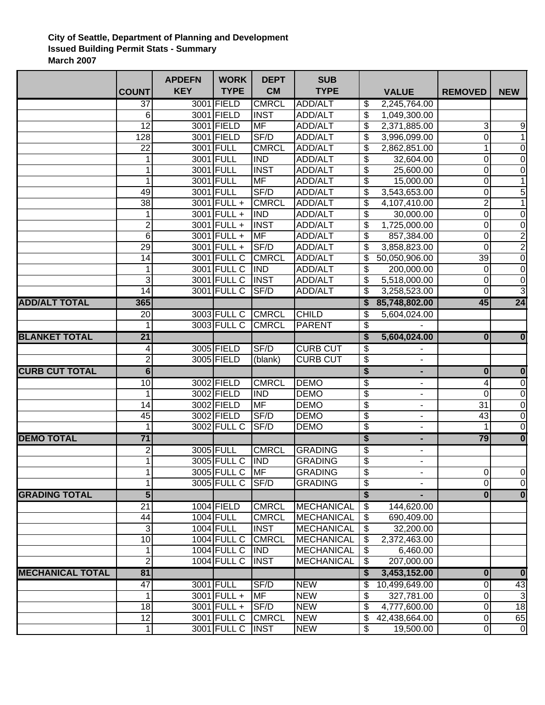## **City of Seattle, Department of Planning and Development Issued Building Permit Stats - Summary March 2007**

|                         |                 | <b>APDEFN</b> | <b>WORK</b>        | <b>DEPT</b>  | <b>SUB</b>        |                                      |                          |                         |                         |
|-------------------------|-----------------|---------------|--------------------|--------------|-------------------|--------------------------------------|--------------------------|-------------------------|-------------------------|
|                         | <b>COUNT</b>    | <b>KEY</b>    | <b>TYPE</b>        | <b>CM</b>    | <b>TYPE</b>       |                                      | <b>VALUE</b>             | <b>REMOVED</b>          | <b>NEW</b>              |
|                         | $\overline{37}$ |               | 3001 FIELD         | <b>CMRCL</b> | <b>ADD/ALT</b>    | \$                                   | 2,245,764.00             |                         |                         |
|                         | 6               |               | 3001 FIELD         | <b>INST</b>  | ADD/ALT           | \$                                   | 1,049,300.00             |                         |                         |
|                         | 12              |               | 3001 FIELD         | <b>MF</b>    | ADD/ALT           | \$                                   | 2,371,885.00             | 3                       | 9                       |
|                         | 128             |               | 3001 FIELD         | SF/D         | ADD/ALT           | \$                                   | 3,996,099.00             | 0                       | $\overline{1}$          |
|                         | 22              |               | 3001 FULL          | <b>CMRCL</b> | ADD/ALT           | \$                                   | 2,862,851.00             |                         | $\pmb{0}$               |
|                         | 1               |               | 3001 FULL          | <b>IND</b>   | ADD/ALT           | \$                                   | 32,604.00                | 0                       | $\mathbf 0$             |
|                         | 1               |               | 3001 FULL          | <b>INST</b>  | ADD/ALT           | \$                                   | 25,600.00                | 0                       | $\mathbf 0$             |
|                         | 1               |               | 3001 FULL          | <b>MF</b>    | ADD/ALT           | \$                                   | 15,000.00                | 0                       | $\overline{1}$          |
|                         | 49              |               | 3001 FULL          | SF/D         | ADD/ALT           | \$                                   | 3,543,653.00             | 0                       | $\overline{5}$          |
|                         | 38              |               | 3001 FULL +        | <b>CMRCL</b> | ADD/ALT           | \$                                   | 4,107,410.00             | 2                       | $\mathbf 1$             |
|                         | 1               |               | 3001 FULL +        | <b>IND</b>   | ADD/ALT           | \$                                   | 30,000.00                | 0                       | $\pmb{0}$               |
|                         | $\overline{2}$  |               | 3001 FULL +        | <b>INST</b>  | ADD/ALT           | \$                                   | 1,725,000.00             | 0                       | $\overline{0}$          |
|                         | $6\phantom{1}6$ |               | 3001 FULL +        | <b>MF</b>    | ADD/ALT           | $\overline{\mathbf{e}}$              | 857,384.00               | $\boldsymbol{0}$        | $\overline{2}$          |
|                         | $\overline{29}$ |               | 3001 FULL +        | SF/D         | <b>ADD/ALT</b>    | \$                                   | 3,858,823.00             | $\overline{0}$          | $\overline{2}$          |
|                         | 14              |               | 3001 FULL C        | <b>CMRCL</b> | ADD/ALT           | \$                                   | 50,050,906.00            | 39                      | $\boldsymbol{0}$        |
|                         | 1               |               | 3001 FULL C        | IND          | ADD/ALT           | \$                                   | 200,000.00               | 0                       | $\mathbf 0$             |
|                         | 3               |               | 3001 FULL C        | <b>INST</b>  | <b>ADD/ALT</b>    | \$                                   | 5,518,000.00             | 0                       | $\overline{0}$          |
|                         | 14              |               | 3001 FULL C        | SF/D         | ADD/ALT           | \$                                   | 3,258,523.00             | 0                       | $\overline{3}$          |
| <b>ADD/ALT TOTAL</b>    | 365             |               |                    |              |                   | \$                                   | 85,748,802.00            | 45                      | $\overline{24}$         |
|                         | $\overline{20}$ |               | 3003 FULL C        | <b>CMRCL</b> | <b>CHILD</b>      | \$                                   | 5,604,024.00             |                         |                         |
|                         | 1               |               | 3003 FULL C        | <b>CMRCL</b> | <b>PARENT</b>     | \$                                   |                          |                         |                         |
| <b>BLANKET TOTAL</b>    | $\overline{21}$ |               |                    |              |                   | S                                    | 5,604,024.00             | $\mathbf{0}$            | $\overline{\mathbf{0}}$ |
|                         | 4               |               | 3005 FIELD         | SF/D         | <b>CURB CUT</b>   | $\overline{\mathbf{S}}$              |                          |                         |                         |
|                         | $\overline{2}$  |               | 3005 FIELD         | (blank)      | <b>CURB CUT</b>   | $\overline{\mathcal{E}}$             | $\overline{\phantom{0}}$ |                         |                         |
| <b>CURB CUT TOTAL</b>   | $6\overline{6}$ |               |                    |              |                   | \$                                   | ۰                        | $\mathbf{0}$            | $\overline{\mathbf{0}}$ |
|                         | 10              |               | 3002 FIELD         | <b>CMRCL</b> | <b>DEMO</b>       | \$                                   | $\blacksquare$           | 4                       | $\overline{0}$          |
|                         | 1               |               | 3002 FIELD         | IND          | <b>DEMO</b>       | \$                                   | ۰                        | 0                       | $\mathbf 0$             |
|                         | 14              |               | 3002 FIELD         | <b>MF</b>    | <b>DEMO</b>       | \$                                   | ۰                        | 31                      | $\mathbf 0$             |
|                         | 45              |               | 3002 FIELD         | SF/D         | <b>DEMO</b>       | \$                                   | $\overline{\phantom{a}}$ | 43                      | $\mathbf 0$             |
|                         | 1               |               | 3002 FULL C        | SF/D         | <b>DEMO</b>       | \$                                   |                          |                         | $\mathbf 0$             |
| <b>DEMO TOTAL</b>       | $\overline{71}$ |               |                    |              |                   | $\overline{\boldsymbol{\mathsf{s}}}$ |                          | 79                      | $\overline{\mathbf{0}}$ |
|                         | 2               |               | 3005 FULL          | <b>CMRCL</b> | <b>GRADING</b>    | \$                                   | ٠                        |                         |                         |
|                         | 1               |               | 3005 FULL C        | <b>IND</b>   | <b>GRADING</b>    | \$                                   | $\blacksquare$           |                         |                         |
|                         |                 |               | 3005 FULL C JMF    |              | <b>GRADING</b>    | \$                                   |                          | $\overline{O}$          | 0                       |
|                         | 1               |               | 3005 FULL C        | SF/D         | <b>GRADING</b>    | \$                                   |                          | 0                       | $\mathbf 0$             |
| <b>GRADING TOTAL</b>    | 5               |               |                    |              |                   | \$                                   |                          | $\overline{\mathbf{0}}$ | $\overline{\mathbf{0}}$ |
|                         | $\overline{21}$ |               | 1004 FIELD         | <b>CMRCL</b> | MECHANICAL        | \$                                   | 144,620.00               |                         |                         |
|                         | 44              |               | 1004 FULL          | <b>CMRCL</b> | MECHANICAL        | \$                                   | 690,409.00               |                         |                         |
|                         | 3               |               | 1004 FULL          | <b>INST</b>  | MECHANICAL        | \$                                   | 32,200.00                |                         |                         |
|                         | 10              |               | 1004 FULL C        | <b>CMRCL</b> | MECHANICAL        | \$                                   | 2,372,463.00             |                         |                         |
|                         | 1               |               | <b>1004 FULL C</b> | <b>IND</b>   | <b>MECHANICAL</b> | \$                                   | 6,460.00                 |                         |                         |
|                         | $\overline{2}$  |               | <b>1004 FULL C</b> | <b>INST</b>  | <b>MECHANICAL</b> | \$                                   | 207,000.00               |                         |                         |
| <b>MECHANICAL TOTAL</b> | 81              |               |                    |              |                   | <b>S</b>                             | 3,453,152.00             | $\boldsymbol{0}$        | $\bf{0}$                |
|                         | $\overline{47}$ |               | 3001 FULL          | SF/D         | <b>NEW</b>        | \$                                   | 10,499,649.00            | 0                       | 43                      |
|                         | 1               |               | $3001$ FULL +      | <b>MF</b>    | <b>NEW</b>        | \$                                   | 327,781.00               | 0                       | 3                       |
|                         | 18              |               | $3001$ FULL +      | SF/D         | <b>NEW</b>        | \$                                   | 4,777,600.00             | 0                       | 18                      |
|                         | 12              |               | 3001 FULL C        | <b>CMRCL</b> | <b>NEW</b>        | \$                                   | 42,438,664.00            | 0                       | 65                      |
|                         | $\mathbf{1}$    |               | 3001 FULL C INST   |              | <b>NEW</b>        | \$                                   | 19,500.00                | 0                       | $\mathbf 0$             |